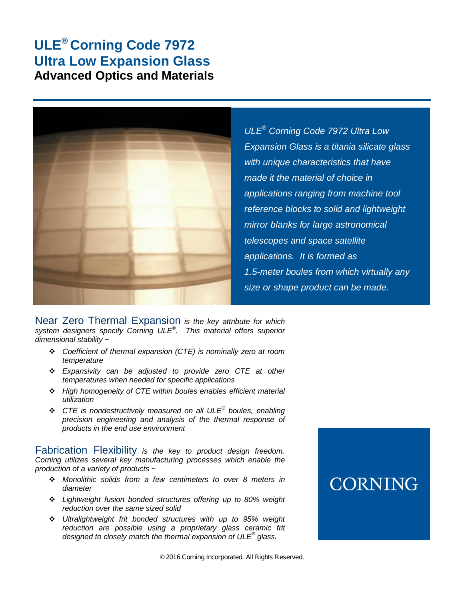## **ULE® Corning Code 7972 Ultra Low Expansion Glass Advanced Optics and Materials**



*ULE® Corning Code 7972 Ultra Low Expansion Glass is a titania silicate glass with unique characteristics that have made it the material of choice in applications ranging from machine tool reference blocks to solid and lightweight mirror blanks for large astronomical telescopes and space satellite applications. It is formed as 1.5-meter boules from which virtually any size or shape product can be made.* 

Near Zero Thermal Expansion *is the key attribute for which system designers specify Corning ULE® . This material offers superior dimensional stability ~* 

- *Coefficient of thermal expansion (CTE) is nominally zero at room temperature*
- *Expansivity can be adjusted to provide zero CTE at other temperatures when needed for specific applications*
- *High homogeneity of CTE within boules enables efficient material utilization*
- *CTE is nondestructively measured on all ULE® boules, enabling precision engineering and analysis of the thermal response of products in the end use environment*

Fabrication Flexibility *is the key to product design freedom. Corning utilizes several key manufacturing processes which enable the production of a variety of products ~* 

- *Monolithic solids from a few centimeters to over 8 meters in diameter*
- *Lightweight fusion bonded structures offering up to 80% weight reduction over the same sized solid*
- *Ultralightweight frit bonded structures with up to 95% weight reduction are possible using a proprietary glass ceramic frit designed to closely match the thermal expansion of ULE® glass.*

# **CORNING**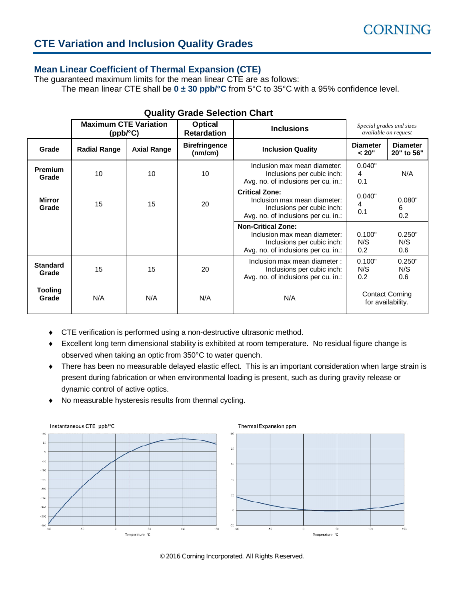#### **CTE Variation and Inclusion Quality Grades**

#### **Mean Linear Coefficient of Thermal Expansion (CTE)**

The guaranteed maximum limits for the mean linear CTE are as follows:

The mean linear CTE shall be  $0 \pm 30$  ppb/ $^{\circ}$ C from 5 $^{\circ}$ C to 35 $^{\circ}$ C with a 95% confidence level.

|                          | <b>Maximum CTE Variation</b><br>$(ppb$ <sup>c</sup> $C)$ |                    | <b>Optical</b><br><b>Retardation</b> | Special grades and sizes<br><b>Inclusions</b><br>available on request                                                          |                                   |                                             |
|--------------------------|----------------------------------------------------------|--------------------|--------------------------------------|--------------------------------------------------------------------------------------------------------------------------------|-----------------------------------|---------------------------------------------|
| Grade                    | <b>Radial Range</b>                                      | <b>Axial Range</b> | <b>Birefringence</b><br>(mm/cm)      | <b>Inclusion Quality</b>                                                                                                       | <b>Diameter</b><br>< 20"          | <b>Diameter</b><br>20" to 56"               |
| <b>Premium</b><br>Grade  | 10                                                       | 10                 | 10 <sup>1</sup>                      | Inclusion max mean diameter:<br>Inclusions per cubic inch:<br>Avg. no. of inclusions per cu. in.:                              | 0.040"<br>4<br>0.1                | N/A                                         |
| <b>Mirror</b><br>Grade   | 15                                                       | 15                 | 20                                   | <b>Critical Zone:</b><br>Inclusion max mean diameter:<br>Inclusions per cubic inch:<br>Avg. no. of inclusions per cu. in.:     |                                   | 0.080"<br>6<br>0.2                          |
|                          |                                                          |                    |                                      | <b>Non-Critical Zone:</b><br>Inclusion max mean diameter:<br>Inclusions per cubic inch:<br>Avg. no. of inclusions per cu. in.: | 0.100"<br>N/S<br>0.2 <sub>0</sub> | 0.250"<br>N/S<br>0.6                        |
| <b>Standard</b><br>Grade | 15                                                       | 15                 | 20                                   | Inclusion max mean diameter :<br>Inclusions per cubic inch:<br>Avg. no. of inclusions per cu. in.:                             | 0.100"<br>N/S<br>0.2              | 0.250"<br>N/S<br>0.6                        |
| <b>Tooling</b><br>Grade  | N/A                                                      | N/A                | N/A                                  | N/A                                                                                                                            |                                   | <b>Contact Corning</b><br>for availability. |

#### **Quality Grade Selection Chart**

- $\bullet$  CTE verification is performed using a non-destructive ultrasonic method.
- i Excellent long term dimensional stability is exhibited at room temperature. No residual figure change is observed when taking an optic from 350°C to water quench.
- There has been no measurable delayed elastic effect. This is an important consideration when large strain is present during fabrication or when environmental loading is present, such as during gravity release or dynamic control of active optics.
- $\bullet$  No measurable hysteresis results from thermal cycling.



© 2016 Corning Incorporated. All Rights Reserved.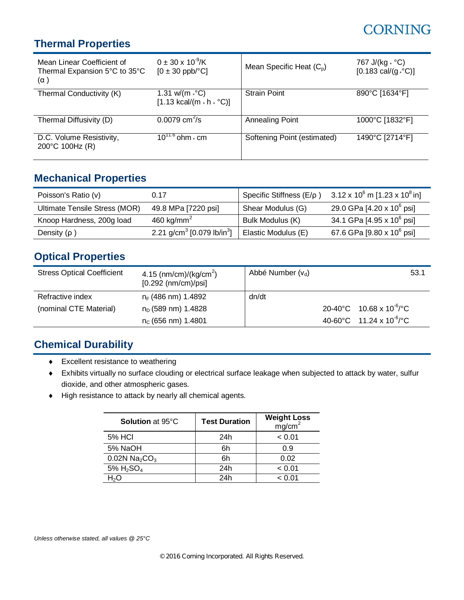# **CORNING**

### **Thermal Properties**

| Mean Linear Coefficient of<br>Thermal Expansion 5°C to 35°C<br>$(\alpha)$ | $0 \pm 30 \times 10^{-9}$ /K<br>$[0 \pm 30 \text{ ppb}$ <sup>o</sup> C]           | Mean Specific Heat $(C_{p})$ | 767 J/(kg $\cdot$ °C)<br>$[0.183 \text{ cal/(g} \cdot {}^{\circ}C)]$ |
|---------------------------------------------------------------------------|-----------------------------------------------------------------------------------|------------------------------|----------------------------------------------------------------------|
| Thermal Conductivity (K)                                                  | 1.31 w/(m $\cdot$ °C)<br>$[1.13 \text{ kcal/(m} \cdot \text{h} \cdot \text{°C})]$ | <b>Strain Point</b>          | 890°C [1634°F]                                                       |
| Thermal Diffusivity (D)                                                   | 0.0079 $cm^2/s$                                                                   | <b>Annealing Point</b>       | 1000°C [1832°F]                                                      |
| D.C. Volume Resistivity,<br>200°C 100Hz (R)                               | $10^{11.6}$ ohm $\cdot$ cm                                                        | Softening Point (estimated)  | 1490°C [2714°F]                                                      |

#### **Mechanical Properties**

| Poisson's Ratio (v)           | 0.17                                               | Specific Stiffness (E/p) | $3.12 \times 10^6$ m [1.23 x 10 $^8$ in] |
|-------------------------------|----------------------------------------------------|--------------------------|------------------------------------------|
| Ultimate Tensile Stress (MOR) | 49.8 MPa [7220 psi]                                | Shear Modulus (G)        | 29.0 GPa [4.20 x $10^6$ psi]             |
| Knoop Hardness, 200g load     | 460 kg/mm <sup>2</sup>                             | Bulk Modulus (K)         | 34.1 GPa [4.95 x 10 <sup>6</sup> psi]    |
| Density $(p)$                 | 2.21 g/cm <sup>3</sup> [0.079 lb/in <sup>3</sup> ] | Elastic Modulus (E)      | 67.6 GPa [9.80 x 10 <sup>6</sup> psi]    |

### **Optical Properties**

| <b>Stress Optical Coefficient</b> | 4.15 (nm/cm)/(kg/cm <sup>2</sup> )<br>$[0.292$ (nm/cm)/psi] | Abbé Number $(v_d)$ | 53.1                                                      |
|-----------------------------------|-------------------------------------------------------------|---------------------|-----------------------------------------------------------|
| Refractive index                  | $n_F$ (486 nm) 1.4892                                       | dn/dt               |                                                           |
| (nominal CTE Material)            | $n_D$ (589 nm) 1.4828                                       |                     | $20-40^{\circ}$ C 10.68 x 10 <sup>-6</sup> / $^{\circ}$ C |
|                                   | $n_c$ (656 nm) 1.4801                                       |                     | 40-60°C 11.24 x 10 <sup>-6</sup> /°C                      |

### **Chemical Durability**

- $\bullet$  Excellent resistance to weathering
- i Exhibits virtually no surface clouding or electrical surface leakage when subjected to attack by water, sulfur dioxide, and other atmospheric gases.
- $\blacklozenge$  High resistance to attack by nearly all chemical agents.

| <b>Solution at 95°C</b>                 | <b>Test Duration</b> | <b>Weight Loss</b><br>mg/cm <sup>2</sup> |
|-----------------------------------------|----------------------|------------------------------------------|
| 5% HCI                                  | 24h                  | < 0.01                                   |
| 5% NaOH                                 | 6h                   | 0.9                                      |
| $0.02N$ Na <sub>2</sub> CO <sub>3</sub> | 6h                   | 0.02                                     |
| $5\%$ H <sub>2</sub> SO <sub>4</sub>    | 24h                  | < 0.01                                   |
| H <sub>2</sub> O                        | 24h                  | < 0.01                                   |

*Unless otherwise stated, all values @ 25°C*